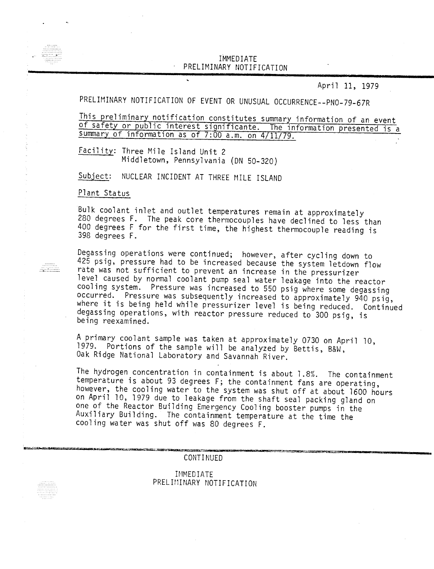## IM~1EDIATE PRELIMINARY NOTIFICATI

April 11, 1979

# PRELIMINARY NOTIFICATION OF EVENT OR UNUSUAL OCCURRENCE--PNO-79-67R

This preliminary notification constitutes summary information of an event of safety or public interest significante. The information presented is a summary of information as of 7:00 a.m. on 4/11/79.

Facility: Three Mile Island Unit 2 Middletown, Pennsylvania (ON 50-320)

 $\ddot{\phantom{0}}$ 

Subject: NUCLEAR INCIDENT AT THREE MILE ISLAND

Plant Status

 $\begin{minipage}{.4\linewidth} \begin{tabular}{l} \hline \multicolumn{1}{l}{} & \multicolumn{1}{l}{} \\ \multicolumn{1}{l}{} & \multicolumn{1}{l}{} \\ \multicolumn{1}{l}{} & \multicolumn{1}{l}{} \\ \multicolumn{1}{l}{} & \multicolumn{1}{l}{} \\ \multicolumn{1}{l}{} & \multicolumn{1}{l}{} \\ \multicolumn{1}{l}{} & \multicolumn{1}{l}{} \\ \multicolumn{1}{l}{} & \multicolumn{1}{l}{} \\ \multicolumn{1}{l}{} & \multicolumn{1}{l}{} \\ \multicolumn{1}{l}{} & \multicolumn{1}{l}{}$ 

Bulk coolant inlet and outlet temperatures remain at approximately 280 degrees F. The peak core thermocouples have declined to less than 400 degrees F for the first time, the highest thermocouple reading is 398 degrees F.

Degassing operations were continued; however, after cycling down to 425 psig, pressure had to be increased because the system letdown flow rate was not sufficient to prevent an increase in the pressurizer level caused by normal coolant pump seal water leakage into the reactor cooling system. Pressure was increased to 550 psig where some degassing occurred. Pressure was subsequently increased to approximately 940 psig, where it is being held while pressurizer level is being reduced. Continued degassing operations, with reactor pressure reduced to 300 psig, is being reexamined.

A primary coolant sample was taken at approximately 0730 on April 10, 1979. Portions of the sample will be analyzed by Bettis, B&W, Oak Ridge National Laboratory and Savannah River.

The hydrogen concentration in containment is about 1.8%. The containment temperature is about 93 degrees F; the containment fans are operating, however, the cooling water to the system was shut off at about 1600 hours on April 10, 1979 due to leakage from the shaft seal packing gland on one of the Reactor Building Emergency Cooling booster pumps in the Auxiliary Building. The containment temperature at the time the cooling water was shut off was 80 degrees F.

**CONTINUED** 

IMMEDIATE PRELIMINARY NOTIFICATION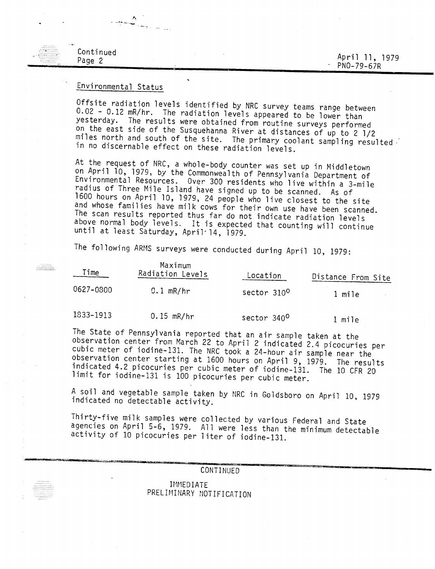### April 11, 1979 PNO-79-67R

#### Continued Page 2

Page 2

 $\frac{1}{2}$ 

## Environmental Status

Offsite radiation levels identified by NRC survey teams range between 0.02 - 0.12 mR/hr. The radiation levels appeared to be lower than yesterday. The results were obtained from routine surveys performed on the east side of the Susquehanna River at distances of up to 2 1/2 miles north and south of the site. The primary coolant sampling resulted in no discernable effect on these radiation levels.

At the request of NRC, a whole-body counter was set up in Middletown on April 10, 1979, by the Commonwealth of Pennsylvania Department of Environmental Resources. Over 300 residents who live within a 3-mile radius of Three Mile Island have signed up to be scanned. As of 1600 hours on April 10, 1979, 24 people who live closest to the site and whose families have milk cows for their own use have been scanned. The scan results reported thus far do not indicate radiation levels above normal body levels. It is expected that counting will continue until at least Saturday, April~ 14, 1979.

The following ARMS surveys were conducted during April 10, 1979:

| Time      | Maximum<br>Radiation Levels | Location                | Distance From Site |
|-----------|-----------------------------|-------------------------|--------------------|
| 0627-0800 | $0.1$ mR/hr                 | sector 310 <sup>0</sup> | 1 mile             |
| 1833-1913 | $0.15$ mR/hr                | sector 340 <sup>0</sup> | mile               |

The State of Pennsylvania reported that an air sample taken at the observation center from March 22 to April 2 indicated 2.4 picocuries per cubic meter of iodine-131. The NRC took a 24-hour air sample near the observation center starting at 1600 hours on April 9, 1979. The results indicated 4.2 picocuries per cubic meter of iodine-131. The 10 CFR 20 limit for iodine-131 is 100 picocuries per cubic meter.

A soil and vegetable sample taken by NRC in Goldsboro on April 10, 1979 indicated no detectable activity.

Thirty-five milk samples were collected by various Federal and State agencies on April 5-6, 1979. All were less than the minimum detectable activity of 10 picocuries per liter of iodine-131.

> CONTINUED IMMEDIATE PRELIMINARY NOTIFICATION